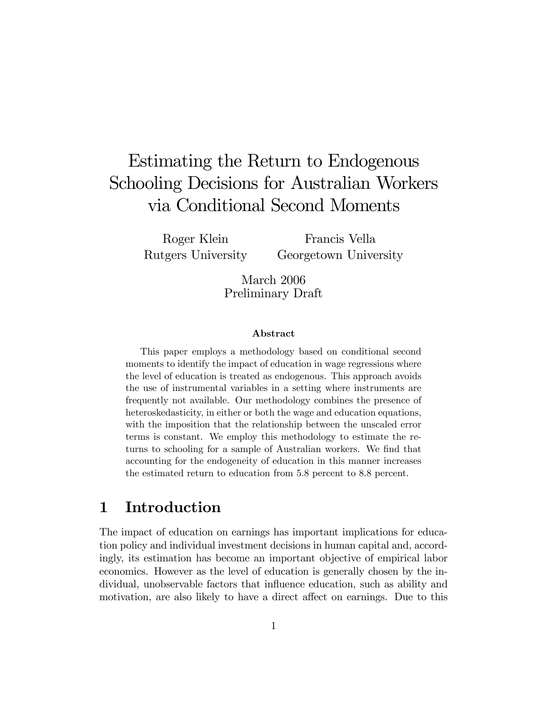# Estimating the Return to Endogenous Schooling Decisions for Australian Workers via Conditional Second Moments

Roger Klein Rutgers University

Francis Vella Georgetown University

March 2006 Preliminary Draft

#### Abstract

This paper employs a methodology based on conditional second moments to identify the impact of education in wage regressions where the level of education is treated as endogenous. This approach avoids the use of instrumental variables in a setting where instruments are frequently not available. Our methodology combines the presence of heteroskedasticity, in either or both the wage and education equations, with the imposition that the relationship between the unscaled error terms is constant. We employ this methodology to estimate the returns to schooling for a sample of Australian workers. We find that accounting for the endogeneity of education in this manner increases the estimated return to education from 5.8 percent to 8.8 percent.

#### 1 Introduction

The impact of education on earnings has important implications for education policy and individual investment decisions in human capital and, accordingly, its estimation has become an important objective of empirical labor economics. However as the level of education is generally chosen by the individual, unobservable factors that influence education, such as ability and motivation, are also likely to have a direct affect on earnings. Due to this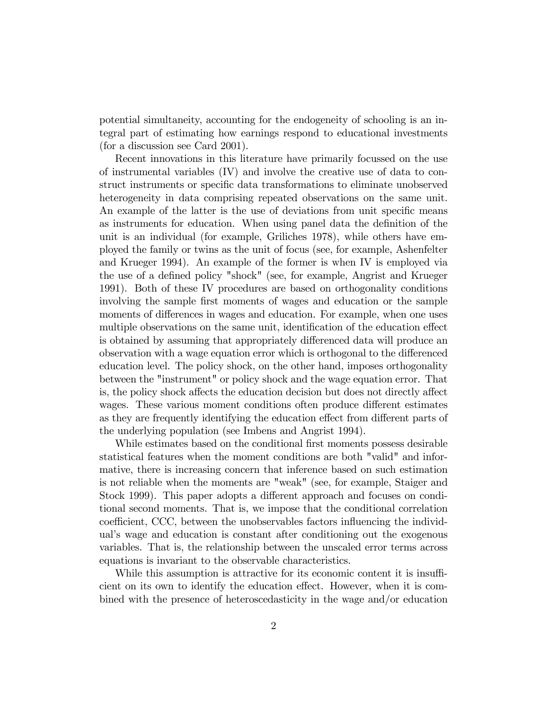potential simultaneity, accounting for the endogeneity of schooling is an integral part of estimating how earnings respond to educational investments (for a discussion see Card 2001).

Recent innovations in this literature have primarily focussed on the use of instrumental variables (IV) and involve the creative use of data to construct instruments or specific data transformations to eliminate unobserved heterogeneity in data comprising repeated observations on the same unit. An example of the latter is the use of deviations from unit specific means as instruments for education. When using panel data the definition of the unit is an individual (for example, Griliches 1978), while others have employed the family or twins as the unit of focus (see, for example, Ashenfelter and Krueger 1994). An example of the former is when IV is employed via the use of a defined policy "shock" (see, for example, Angrist and Krueger 1991). Both of these IV procedures are based on orthogonality conditions involving the sample first moments of wages and education or the sample moments of differences in wages and education. For example, when one uses multiple observations on the same unit, identification of the education effect is obtained by assuming that appropriately differenced data will produce an observation with a wage equation error which is orthogonal to the differenced education level. The policy shock, on the other hand, imposes orthogonality between the "instrument" or policy shock and the wage equation error. That is, the policy shock affects the education decision but does not directly affect wages. These various moment conditions often produce different estimates as they are frequently identifying the education effect from different parts of the underlying population (see Imbens and Angrist 1994).

While estimates based on the conditional first moments possess desirable statistical features when the moment conditions are both "valid" and informative, there is increasing concern that inference based on such estimation is not reliable when the moments are "weak" (see, for example, Staiger and Stock 1999). This paper adopts a different approach and focuses on conditional second moments. That is, we impose that the conditional correlation coefficient, CCC, between the unobservables factors influencing the individual's wage and education is constant after conditioning out the exogenous variables. That is, the relationship between the unscaled error terms across equations is invariant to the observable characteristics.

While this assumption is attractive for its economic content it is insufficient on its own to identify the education effect. However, when it is combined with the presence of heteroscedasticity in the wage and/or education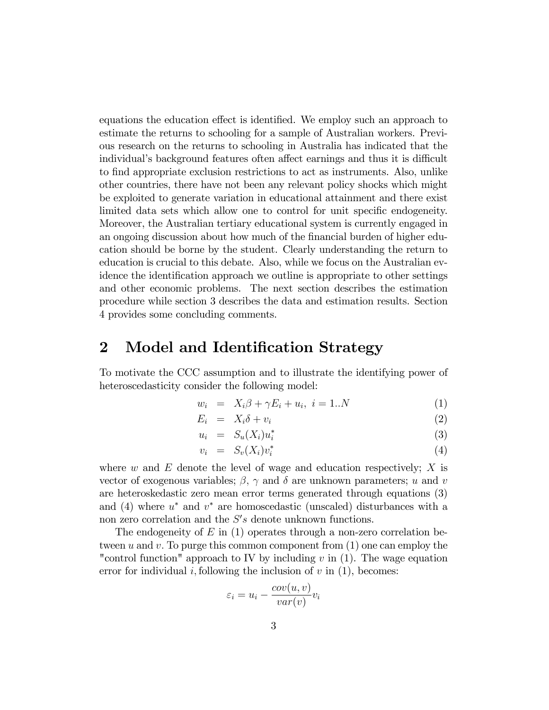equations the education effect is identified. We employ such an approach to estimate the returns to schooling for a sample of Australian workers. Previous research on the returns to schooling in Australia has indicated that the individual's background features often affect earnings and thus it is difficult to Önd appropriate exclusion restrictions to act as instruments. Also, unlike other countries, there have not been any relevant policy shocks which might be exploited to generate variation in educational attainment and there exist limited data sets which allow one to control for unit specific endogeneity. Moreover, the Australian tertiary educational system is currently engaged in an ongoing discussion about how much of the financial burden of higher education should be borne by the student. Clearly understanding the return to education is crucial to this debate. Also, while we focus on the Australian evidence the identification approach we outline is appropriate to other settings and other economic problems. The next section describes the estimation procedure while section 3 describes the data and estimation results. Section 4 provides some concluding comments.

#### 2 Model and Identification Strategy

To motivate the CCC assumption and to illustrate the identifying power of heteroscedasticity consider the following model:

$$
w_i = X_i \beta + \gamma E_i + u_i, \quad i = 1..N \tag{1}
$$

$$
E_i = X_i \delta + v_i \tag{2}
$$

$$
u_i = S_u(X_i)u_i^* \tag{3}
$$

$$
v_i = S_v(X_i)v_i^* \tag{4}
$$

where  $w$  and  $E$  denote the level of wage and education respectively;  $X$  is vector of exogenous variables;  $\beta$ ,  $\gamma$  and  $\delta$  are unknown parameters; u and v are heteroskedastic zero mean error terms generated through equations (3) and (4) where  $u^*$  and  $v^*$  are homoscedastic (unscaled) disturbances with a non zero correlation and the  $S's$  denote unknown functions.

The endogeneity of  $E$  in (1) operates through a non-zero correlation between u and v. To purge this common component from  $(1)$  one can employ the "control function" approach to IV by including  $v$  in (1). The wage equation error for individual i, following the inclusion of  $v$  in  $(1)$ , becomes:

$$
\varepsilon_i = u_i - \frac{cov(u, v)}{var(v)}v_i
$$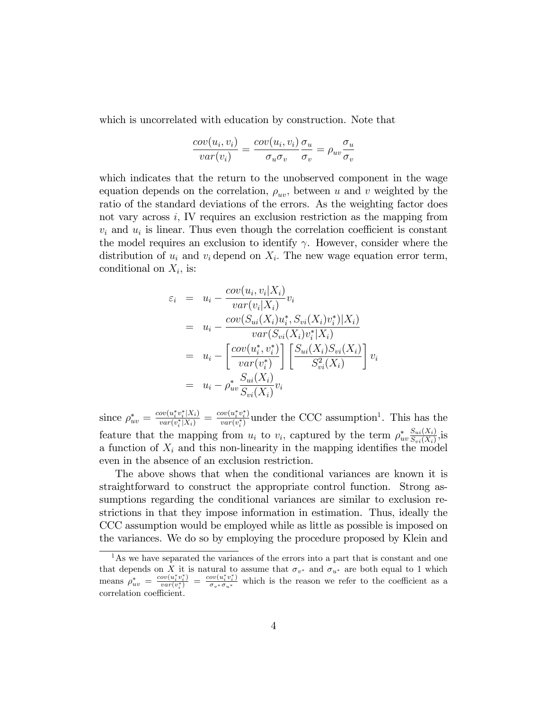which is uncorrelated with education by construction. Note that

$$
\frac{cov(u_i, v_i)}{var(v_i)} = \frac{cov(u_i, v_i)}{\sigma_u \sigma_v} \frac{\sigma_u}{\sigma_v} = \rho_{uv} \frac{\sigma_u}{\sigma_v}
$$

which indicates that the return to the unobserved component in the wage equation depends on the correlation,  $\rho_{uv}$ , between u and v weighted by the ratio of the standard deviations of the errors. As the weighting factor does not vary across  $i$ , IV requires an exclusion restriction as the mapping from  $v_i$  and  $u_i$  is linear. Thus even though the correlation coefficient is constant the model requires an exclusion to identify  $\gamma$ . However, consider where the distribution of  $u_i$  and  $v_i$  depend on  $X_i$ . The new wage equation error term, conditional on  $X_i$ , is:

$$
\varepsilon_{i} = u_{i} - \frac{cov(u_{i}, v_{i}|X_{i})}{var(v_{i}|X_{i})}v_{i}
$$
\n
$$
= u_{i} - \frac{cov(S_{ui}(X_{i})u_{i}^{*}, S_{vi}(X_{i})v_{i}^{*})|X_{i})}{var(S_{vi}(X_{i})v_{i}^{*}|X_{i})}
$$
\n
$$
= u_{i} - \left[\frac{cov(u_{i}^{*}, v_{i}^{*})}{var(v_{i}^{*})}\right] \left[\frac{S_{ui}(X_{i})S_{vi}(X_{i})}{S_{vi}^{2}(X_{i})}\right]v_{i}
$$
\n
$$
= u_{i} - \rho_{uv}^{*} \frac{S_{ui}(X_{i})}{S_{vi}(X_{i})}v_{i}
$$

since  $\rho^{*}_{uv} = \frac{cov(u^{*}_{i}v^{*}_{i}|X_{i})}{var(v^{*}_{i}|X_{i})} = \frac{cov(u^{*}_{i}v^{*}_{i})}{var(v^{*}_{i})}$  $\frac{\partial v(u_i^* v_i^*)}{\partial v(x_i^*)}$  under the CCC assumption<sup>1</sup>. This has the feature that the mapping from  $u_i$  to  $v_i$ , captured by the term  $\rho_{uv}^* \frac{S_{ui}(X_i)}{S_{vi}(X_i)}$  $\frac{S_{ui}(X_i)}{S_{vi}(X_i)}$ , is a function of  $X_i$  and this non-linearity in the mapping identifies the model even in the absence of an exclusion restriction.

The above shows that when the conditional variances are known it is straightforward to construct the appropriate control function. Strong assumptions regarding the conditional variances are similar to exclusion restrictions in that they impose information in estimation. Thus, ideally the CCC assumption would be employed while as little as possible is imposed on the variances. We do so by employing the procedure proposed by Klein and

<sup>&</sup>lt;sup>1</sup>As we have separated the variances of the errors into a part that is constant and one that depends on X it is natural to assume that  $\sigma_{v^*}$  and  $\sigma_{u^*}$  are both equal to 1 which means  $\rho^*_{uv} = \frac{cov(u^*_iv^*_i)}{var(v^*_i)}$  $\frac{\partial v(u_i^*v_i^*)}{\partial u(v_i^*)} = \frac{\partial v(v_i^*v_i^*)}{\partial v_*\sigma_{u^*}}$  which is the reason we refer to the coefficient as a correlation coefficient.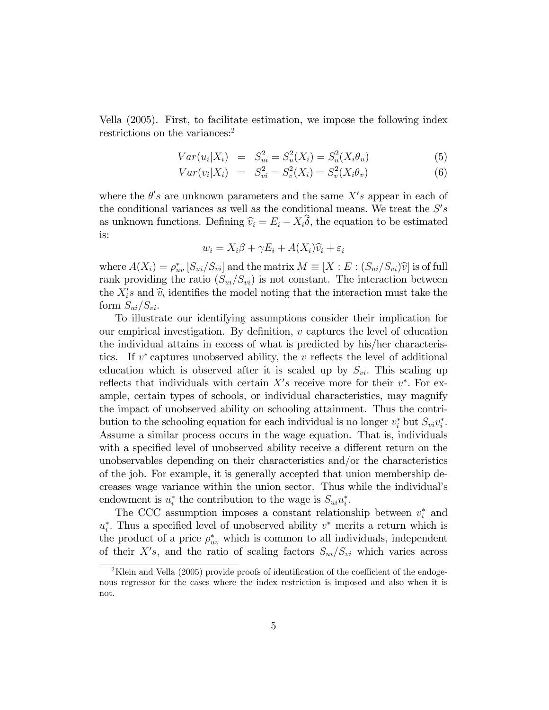Vella (2005). First, to facilitate estimation, we impose the following index restrictions on the variances:<sup>2</sup>

$$
Var(u_i|X_i) = S_{ui}^2 = S_u^2(X_i) = S_u^2(X_i \theta_u)
$$
\n(5)

$$
Var(v_i|X_i) = S_{vi}^2 = S_v^2(X_i) = S_v^2(X_i \theta_v)
$$
\n(6)

where the  $\theta's$  are unknown parameters and the same  $X's$  appear in each of the conditional variances as well as the conditional means. We treat the  $S's$ as unknown functions. Defining  $\hat{v}_i = E_i - X_i \delta$ , the equation to be estimated is:

$$
w_i = X_i \beta + \gamma E_i + A(X_i)\widehat{v}_i + \varepsilon_i
$$

where  $A(X_i) = \rho_{uv}^*[S_{ui}/S_{vi}]$  and the matrix  $M \equiv [X : E : (S_{ui}/S_{vi})\hat{v}]$  is of full rank providing the ratio  $(S_{ui}/S_{vi})$  is not constant. The interaction between the  $X_i$ 's and  $\widehat{v}_i$  identifies the model noting that the interaction must take the form  $S_{ui}/S_{vi}$ .

To illustrate our identifying assumptions consider their implication for our empirical investigation. By definition,  $v$  captures the level of education the individual attains in excess of what is predicted by his/her characteristics. If  $v^*$  captures unobserved ability, the  $v$  reflects the level of additional education which is observed after it is scaled up by  $S_{vi}$ . This scaling up reflects that individuals with certain  $X's$  receive more for their  $v^*$ . For example, certain types of schools, or individual characteristics, may magnify the impact of unobserved ability on schooling attainment. Thus the contribution to the schooling equation for each individual is no longer  $v_i^*$  but  $S_{vi}v_i^*$ . Assume a similar process occurs in the wage equation. That is, individuals with a specified level of unobserved ability receive a different return on the unobservables depending on their characteristics and/or the characteristics of the job. For example, it is generally accepted that union membership decreases wage variance within the union sector. Thus while the individual's endowment is  $u_i^*$  the contribution to the wage is  $S_{ui}u_i^*$ .

The CCC assumption imposes a constant relationship between  $v_i^*$  and  $u_i^*$ . Thus a specified level of unobserved ability  $v^*$  merits a return which is the product of a price  $\rho_{uv}^*$  which is common to all individuals, independent of their  $X's$ , and the ratio of scaling factors  $S_{ui}/S_{vi}$  which varies across

<sup>&</sup>lt;sup>2</sup>Klein and Vella (2005) provide proofs of identification of the coefficient of the endogenous regressor for the cases where the index restriction is imposed and also when it is not.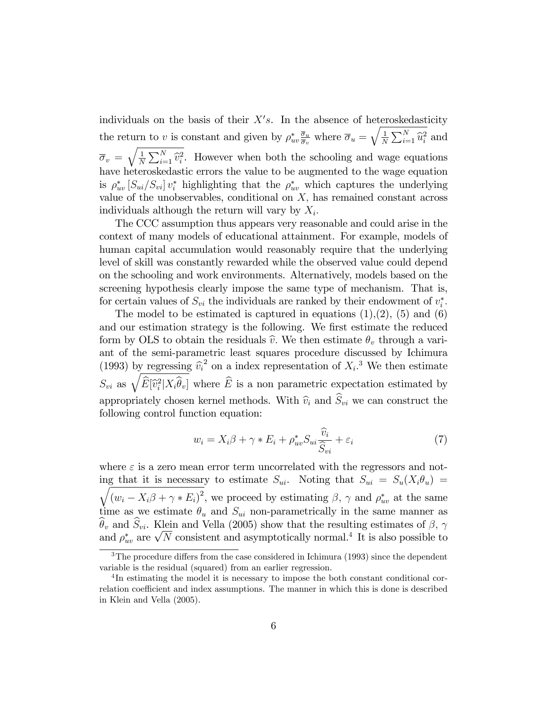individuals on the basis of their  $X's$ . In the absence of heteroskedasticity the return to v is constant and given by  $\rho_{uv}^* \frac{\overline{\sigma}_u}{\overline{\sigma}_v}$  $\frac{\overline{\sigma}_u}{\overline{\sigma}_v}$  where  $\overline{\sigma}_u = \sqrt{\frac{1}{N}}$  $\frac{1}{N} \sum_{i=1}^{N} \hat{u}_i^2$  and  $\overline{\sigma}_v = \sqrt{\frac{1}{N}}$  $\frac{1}{N}\sum_{i=1}^{N}\hat{v}_{i}^{2}$ . However when both the schooling and wage equations have heteroskedastic errors the value to be augmented to the wage equation is  $\rho_{uv}^*$  [ $S_{ui}/S_{vi}$ ]  $v_i^*$  highlighting that the  $\rho_{uv}^*$  which captures the underlying value of the unobservables, conditional on  $X$ , has remained constant across individuals although the return will vary by  $X_i$ .

The CCC assumption thus appears very reasonable and could arise in the context of many models of educational attainment. For example, models of human capital accumulation would reasonably require that the underlying level of skill was constantly rewarded while the observed value could depend on the schooling and work environments. Alternatively, models based on the screening hypothesis clearly impose the same type of mechanism. That is, for certain values of  $S_{vi}$  the individuals are ranked by their endowment of  $v_i^*$ .

The model to be estimated is captured in equations  $(1),(2)$ ,  $(5)$  and  $(6)$ and our estimation strategy is the following. We first estimate the reduced form by OLS to obtain the residuals  $\hat{v}$ . We then estimate  $\theta_v$  through a variant of the semi-parametric least squares procedure discussed by Ichimura (1993) by regressing  $\hat{v}_i^2$  on a index representation of  $X_i$ <sup>3</sup>. We then estimate  $S_{vi}$  as  $\sqrt{\widehat{E}[\widehat{v}_i^2|X_i\widehat{\theta}_v]}$  where  $\widehat{E}$  is a non parametric expectation estimated by appropriately chosen kernel methods. With  $\widehat{v}_i$  and  $\widehat{S}_{vi}$  we can construct the following control function equation:

$$
w_i = X_i \beta + \gamma * E_i + \rho_{uv}^* S_{ui} \frac{\widehat{v}_i}{\widehat{S}_{vi}} + \varepsilon_i
$$
\n<sup>(7)</sup>

where  $\varepsilon$  is a zero mean error term uncorrelated with the regressors and noting that it is necessary to estimate  $S_{ui}$ . Noting that  $S_{ui} = S_u(X_i \theta_u) =$  $\sqrt{ }$  $(w_i - X_i \beta + \gamma * E_i)^2$ , we proceed by estimating  $\beta$ ,  $\gamma$  and  $\rho_{uv}^*$  at the same time as we estimate  $\theta_u$  and  $S_{ui}$  non-parametrically in the same manner as  $\widehat{\theta}_v$  and  $\widehat{S}_{vi}$ . Klein and Vella (2005) show that the resulting estimates of  $\beta$ ,  $\gamma$ and  $\rho_{uv}^*$  are  $\sqrt{N}$  consistent and asymptotically normal.<sup>4</sup> It is also possible to

 $3$ The procedure differs from the case considered in Ichimura (1993) since the dependent variable is the residual (squared) from an earlier regression.

<sup>&</sup>lt;sup>4</sup>In estimating the model it is necessary to impose the both constant conditional correlation coefficient and index assumptions. The manner in which this is done is described in Klein and Vella (2005).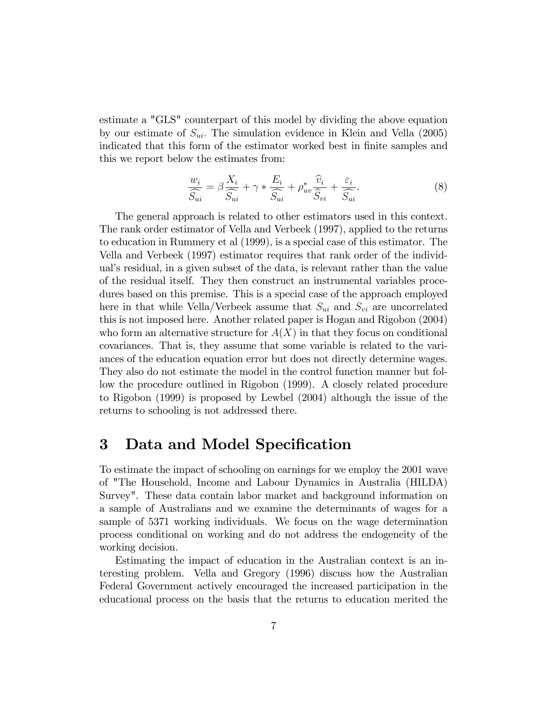estimate a "GLS" counterpart of this model by dividing the above equation by our estimate of  $S_{ui}$ . The simulation evidence in Klein and Vella (2005) indicated that this form of the estimator worked best in finite samples and this we report below the estimates from:

$$
\frac{w_i}{\widehat{S}_{ui}} = \beta \frac{X_i}{\widehat{S}_{ui}} + \gamma * \frac{E_i}{\widehat{S}_{ui}} + \rho_{uv}^* \frac{\widehat{v}_i}{\widehat{S}_{vi}} + \frac{\varepsilon_i}{\widehat{S}_{ui}}.
$$
\n(8)

The general approach is related to other estimators used in this context. The rank order estimator of Vella and Verbeek (1997), applied to the returns to education in Rummery et al (1999), is a special case of this estimator. The Vella and Verbeek (1997) estimator requires that rank order of the individual's residual, in a given subset of the data, is relevant rather than the value of the residual itself. They then construct an instrumental variables procedures based on this premise. This is a special case of the approach employed here in that while Vella/Verbeek assume that  $S_{ui}$  and  $S_{vi}$  are uncorrelated this is not imposed here. Another related paper is Hogan and Rigobon (2004) who form an alternative structure for  $A(X)$  in that they focus on conditional covariances. That is, they assume that some variable is related to the variances of the education equation error but does not directly determine wages. They also do not estimate the model in the control function manner but follow the procedure outlined in Rigobon (1999). A closely related procedure to Rigobon (1999) is proposed by Lewbel (2004) although the issue of the returns to schooling is not addressed there.

#### 3 Data and Model Specification

To estimate the impact of schooling on earnings for we employ the 2001 wave of "The Household, Income and Labour Dynamics in Australia (HILDA) Survey". These data contain labor market and background information on a sample of Australians and we examine the determinants of wages for a sample of 5371 working individuals. We focus on the wage determination process conditional on working and do not address the endogeneity of the working decision.

Estimating the impact of education in the Australian context is an interesting problem. Vella and Gregory (1996) discuss how the Australian Federal Government actively encouraged the increased participation in the educational process on the basis that the returns to education merited the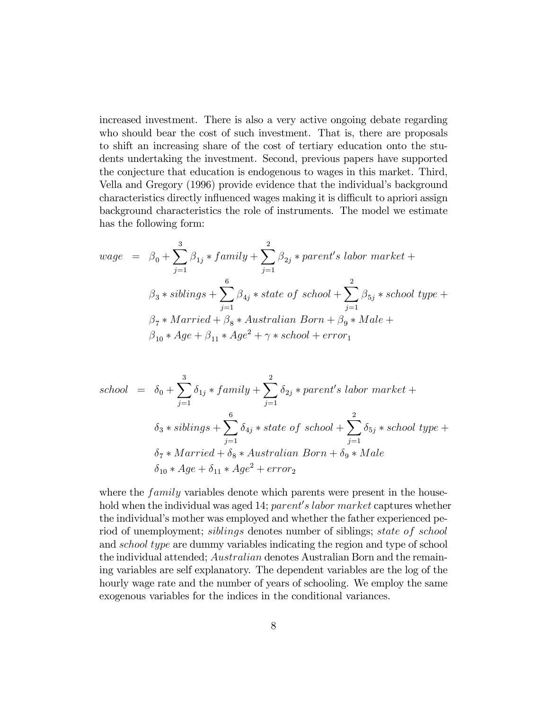increased investment. There is also a very active ongoing debate regarding who should bear the cost of such investment. That is, there are proposals to shift an increasing share of the cost of tertiary education onto the students undertaking the investment. Second, previous papers have supported the conjecture that education is endogenous to wages in this market. Third, Vella and Gregory (1996) provide evidence that the individual's background characteristics directly influenced wages making it is difficult to apriori assign background characteristics the role of instruments. The model we estimate has the following form:

$$
wage = \beta_0 + \sum_{j=1}^{3} \beta_{1j} * family + \sum_{j=1}^{2} \beta_{2j} * parent's labor market +
$$
  

$$
\beta_3 * siblings + \sum_{j=1}^{6} \beta_{4j} * state of school + \sum_{j=1}^{2} \beta_{5j} * school type +
$$
  

$$
\beta_7 * married + \beta_8 * Australian Born + \beta_9 * Male +
$$
  

$$
\beta_{10} * Age + \beta_{11} * Age^2 + \gamma * school + error_1
$$

$$
school = \delta_0 + \sum_{j=1}^3 \delta_{1j} * family + \sum_{j=1}^2 \delta_{2j} * parent's labor market +
$$
  

$$
\delta_3 * siblings + \sum_{j=1}^6 \delta_{4j} * state \ of \ school + \sum_{j=1}^2 \delta_{5j} * school type +
$$
  

$$
\delta_7 * married + \delta_8 * Australian Born + \delta_9 * Male
$$
  

$$
\delta_{10} * Age + \delta_{11} * Age^2 + error_2
$$

where the  $family$  variables denote which parents were present in the household when the individual was aged 14;  $parent's$  labor market captures whether the individual's mother was employed and whether the father experienced period of unemployment; siblings denotes number of siblings; state of school and school type are dummy variables indicating the region and type of school the individual attended; Australian denotes Australian Born and the remaining variables are self explanatory. The dependent variables are the log of the hourly wage rate and the number of years of schooling. We employ the same exogenous variables for the indices in the conditional variances.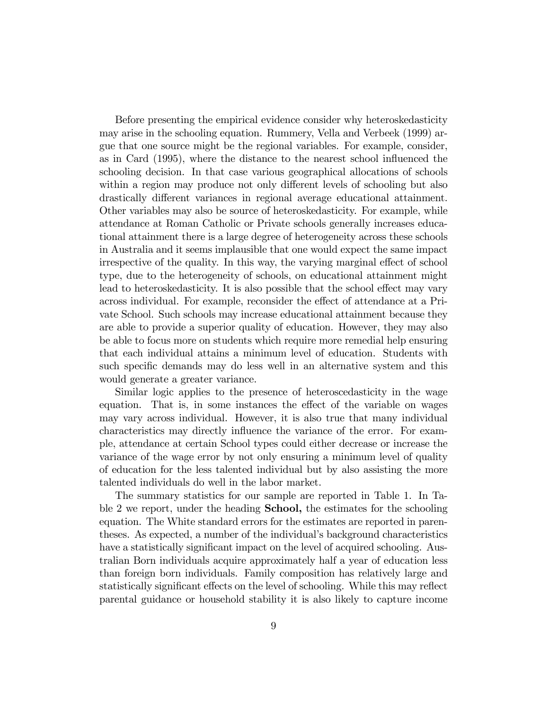Before presenting the empirical evidence consider why heteroskedasticity may arise in the schooling equation. Rummery, Vella and Verbeek (1999) argue that one source might be the regional variables. For example, consider, as in Card (1995), where the distance to the nearest school ináuenced the schooling decision. In that case various geographical allocations of schools within a region may produce not only different levels of schooling but also drastically different variances in regional average educational attainment. Other variables may also be source of heteroskedasticity. For example, while attendance at Roman Catholic or Private schools generally increases educational attainment there is a large degree of heterogeneity across these schools in Australia and it seems implausible that one would expect the same impact irrespective of the quality. In this way, the varying marginal effect of school type, due to the heterogeneity of schools, on educational attainment might lead to heteroskedasticity. It is also possible that the school effect may vary across individual. For example, reconsider the effect of attendance at a Private School. Such schools may increase educational attainment because they are able to provide a superior quality of education. However, they may also be able to focus more on students which require more remedial help ensuring that each individual attains a minimum level of education. Students with such specific demands may do less well in an alternative system and this would generate a greater variance.

Similar logic applies to the presence of heteroscedasticity in the wage equation. That is, in some instances the effect of the variable on wages may vary across individual. However, it is also true that many individual characteristics may directly influence the variance of the error. For example, attendance at certain School types could either decrease or increase the variance of the wage error by not only ensuring a minimum level of quality of education for the less talented individual but by also assisting the more talented individuals do well in the labor market.

The summary statistics for our sample are reported in Table 1. In Table 2 we report, under the heading **School**, the estimates for the schooling equation. The White standard errors for the estimates are reported in parentheses. As expected, a number of the individual's background characteristics have a statistically significant impact on the level of acquired schooling. Australian Born individuals acquire approximately half a year of education less than foreign born individuals. Family composition has relatively large and statistically significant effects on the level of schooling. While this may reflect parental guidance or household stability it is also likely to capture income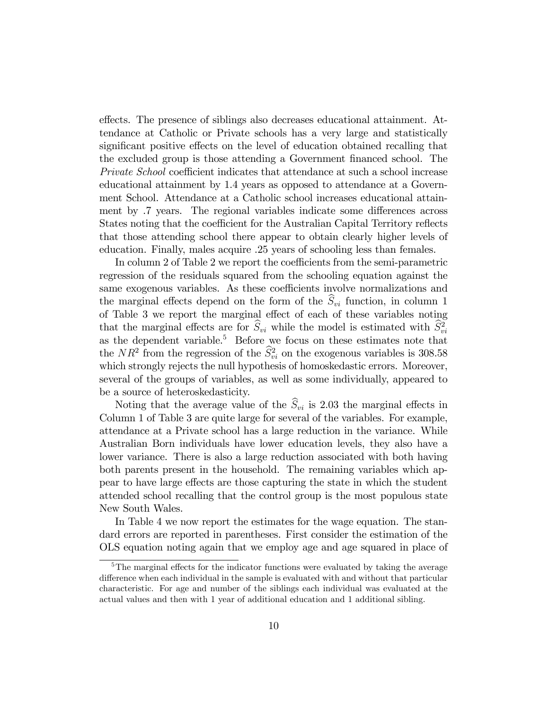effects. The presence of siblings also decreases educational attainment. Attendance at Catholic or Private schools has a very large and statistically significant positive effects on the level of education obtained recalling that the excluded group is those attending a Government Önanced school. The *Private School* coefficient indicates that attendance at such a school increase educational attainment by 1.4 years as opposed to attendance at a Government School. Attendance at a Catholic school increases educational attainment by .7 years. The regional variables indicate some differences across States noting that the coefficient for the Australian Capital Territory reflects that those attending school there appear to obtain clearly higher levels of education. Finally, males acquire .25 years of schooling less than females.

In column 2 of Table 2 we report the coefficients from the semi-parametric regression of the residuals squared from the schooling equation against the same exogenous variables. As these coefficients involve normalizations and the marginal effects depend on the form of the  $\hat{S}_{vi}$  function, in column 1 of Table 3 we report the marginal effect of each of these variables noting that the marginal effects are for  $\hat{S}_{vi}$  while the model is estimated with  $\hat{S}_{vi}^2$ as the dependent variable.<sup>5</sup> Before we focus on these estimates note that the  $NR^2$  from the regression of the  $\hat{S}_{vi}^2$  on the exogenous variables is 308.58 which strongly rejects the null hypothesis of homoskedastic errors. Moreover, several of the groups of variables, as well as some individually, appeared to be a source of heteroskedasticity.

Noting that the average value of the  $\hat{S}_{vi}$  is 2.03 the marginal effects in Column 1 of Table 3 are quite large for several of the variables. For example, attendance at a Private school has a large reduction in the variance. While Australian Born individuals have lower education levels, they also have a lower variance. There is also a large reduction associated with both having both parents present in the household. The remaining variables which appear to have large effects are those capturing the state in which the student attended school recalling that the control group is the most populous state New South Wales.

In Table 4 we now report the estimates for the wage equation. The standard errors are reported in parentheses. First consider the estimation of the OLS equation noting again that we employ age and age squared in place of

 $5$ The marginal effects for the indicator functions were evaluated by taking the average difference when each individual in the sample is evaluated with and without that particular characteristic. For age and number of the siblings each individual was evaluated at the actual values and then with 1 year of additional education and 1 additional sibling.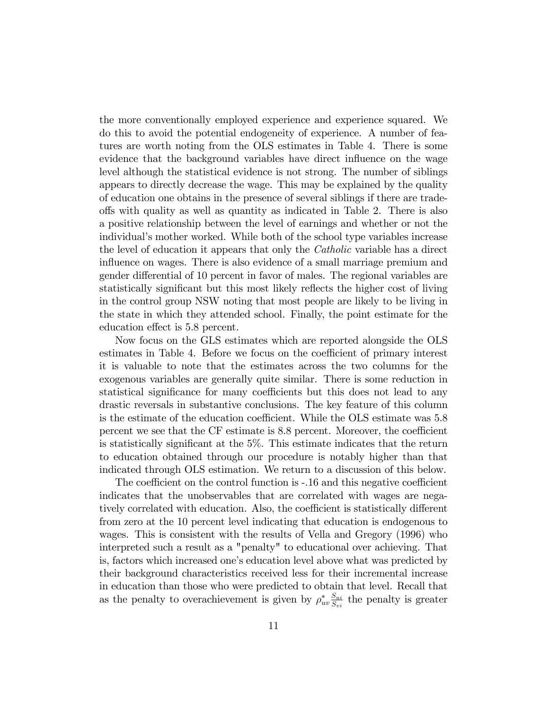the more conventionally employed experience and experience squared. We do this to avoid the potential endogeneity of experience. A number of features are worth noting from the OLS estimates in Table 4. There is some evidence that the background variables have direct influence on the wage level although the statistical evidence is not strong. The number of siblings appears to directly decrease the wage. This may be explained by the quality of education one obtains in the presence of several siblings if there are tradeo§s with quality as well as quantity as indicated in Table 2. There is also a positive relationship between the level of earnings and whether or not the individual's mother worked. While both of the school type variables increase the level of education it appears that only the Catholic variable has a direct influence on wages. There is also evidence of a small marriage premium and gender differential of 10 percent in favor of males. The regional variables are statistically significant but this most likely reflects the higher cost of living in the control group NSW noting that most people are likely to be living in the state in which they attended school. Finally, the point estimate for the education effect is 5.8 percent.

Now focus on the GLS estimates which are reported alongside the OLS estimates in Table 4. Before we focus on the coefficient of primary interest it is valuable to note that the estimates across the two columns for the exogenous variables are generally quite similar. There is some reduction in statistical significance for many coefficients but this does not lead to any drastic reversals in substantive conclusions. The key feature of this column is the estimate of the education coefficient. While the OLS estimate was  $5.8$ percent we see that the CF estimate is 8.8 percent. Moreover, the coefficient is statistically significant at the 5%. This estimate indicates that the return to education obtained through our procedure is notably higher than that indicated through OLS estimation. We return to a discussion of this below.

The coefficient on the control function is -.16 and this negative coefficient indicates that the unobservables that are correlated with wages are negatively correlated with education. Also, the coefficient is statistically different from zero at the 10 percent level indicating that education is endogenous to wages. This is consistent with the results of Vella and Gregory (1996) who interpreted such a result as a "penalty" to educational over achieving. That is, factors which increased one's education level above what was predicted by their background characteristics received less for their incremental increase in education than those who were predicted to obtain that level. Recall that as the penalty to overachievement is given by  $\rho_{uv}^* \frac{S_{ui}}{S_{vi}}$  $\frac{S_{ui}}{S_{vi}}$  the penalty is greater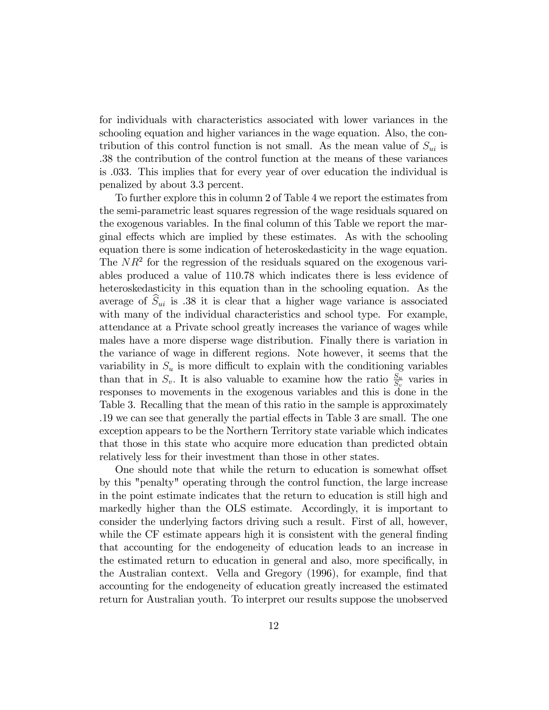for individuals with characteristics associated with lower variances in the schooling equation and higher variances in the wage equation. Also, the contribution of this control function is not small. As the mean value of  $S_{ui}$  is .38 the contribution of the control function at the means of these variances is .033. This implies that for every year of over education the individual is penalized by about 3.3 percent.

To further explore this in column 2 of Table 4 we report the estimates from the semi-parametric least squares regression of the wage residuals squared on the exogenous variables. In the final column of this Table we report the marginal effects which are implied by these estimates. As with the schooling equation there is some indication of heteroskedasticity in the wage equation. The  $NR<sup>2</sup>$  for the regression of the residuals squared on the exogenous variables produced a value of 110.78 which indicates there is less evidence of heteroskedasticity in this equation than in the schooling equation. As the average of  $\hat{S}_{ui}$  is .38 it is clear that a higher wage variance is associated with many of the individual characteristics and school type. For example, attendance at a Private school greatly increases the variance of wages while males have a more disperse wage distribution. Finally there is variation in the variance of wage in different regions. Note however, it seems that the variability in  $S_u$  is more difficult to explain with the conditioning variables than that in  $S_v$ . It is also valuable to examine how the ratio  $\frac{S_u}{S_v}$  varies in responses to movements in the exogenous variables and this is done in the Table 3. Recalling that the mean of this ratio in the sample is approximately .19 we can see that generally the partial effects in Table 3 are small. The one exception appears to be the Northern Territory state variable which indicates that those in this state who acquire more education than predicted obtain relatively less for their investment than those in other states.

One should note that while the return to education is somewhat offset by this "penalty" operating through the control function, the large increase in the point estimate indicates that the return to education is still high and markedly higher than the OLS estimate. Accordingly, it is important to consider the underlying factors driving such a result. First of all, however, while the CF estimate appears high it is consistent with the general finding that accounting for the endogeneity of education leads to an increase in the estimated return to education in general and also, more specifically, in the Australian context. Vella and Gregory (1996), for example, find that accounting for the endogeneity of education greatly increased the estimated return for Australian youth. To interpret our results suppose the unobserved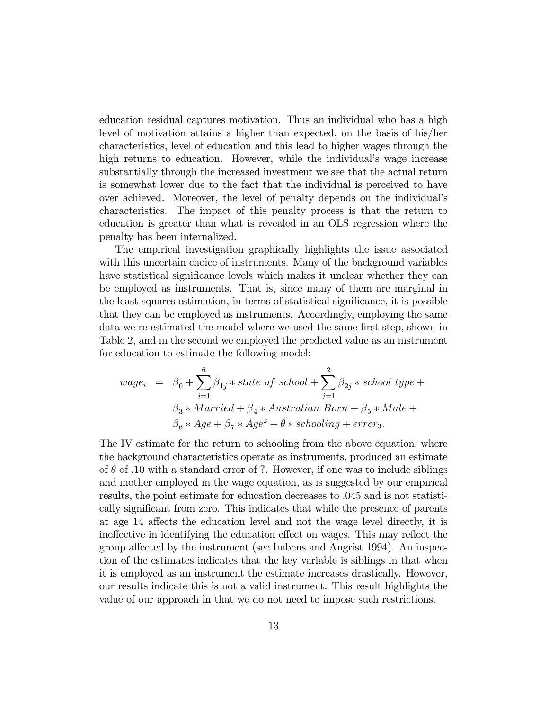education residual captures motivation. Thus an individual who has a high level of motivation attains a higher than expected, on the basis of his/her characteristics, level of education and this lead to higher wages through the high returns to education. However, while the individual's wage increase substantially through the increased investment we see that the actual return is somewhat lower due to the fact that the individual is perceived to have over achieved. Moreover, the level of penalty depends on the individual's characteristics. The impact of this penalty process is that the return to education is greater than what is revealed in an OLS regression where the penalty has been internalized.

The empirical investigation graphically highlights the issue associated with this uncertain choice of instruments. Many of the background variables have statistical significance levels which makes it unclear whether they can be employed as instruments. That is, since many of them are marginal in the least squares estimation, in terms of statistical significance, it is possible that they can be employed as instruments. Accordingly, employing the same data we re-estimated the model where we used the same first step, shown in Table 2, and in the second we employed the predicted value as an instrument for education to estimate the following model:

$$
wage_i = \beta_0 + \sum_{j=1}^{6} \beta_{1j} * state \ of \ school + \sum_{j=1}^{2} \beta_{2j} * school \ type + \n\beta_3 * Married + \beta_4 * Australian Born + \beta_5 * Male + \n\beta_6 * Age + \beta_7 * Age^2 + \theta * schooling + error_3.
$$

The IV estimate for the return to schooling from the above equation, where the background characteristics operate as instruments, produced an estimate of  $\theta$  of .10 with a standard error of ?. However, if one was to include siblings and mother employed in the wage equation, as is suggested by our empirical results, the point estimate for education decreases to .045 and is not statistically significant from zero. This indicates that while the presence of parents at age 14 affects the education level and not the wage level directly, it is ine equal the education effect on wages. This may reflect the group affected by the instrument (see Imbens and Angrist 1994). An inspection of the estimates indicates that the key variable is siblings in that when it is employed as an instrument the estimate increases drastically. However, our results indicate this is not a valid instrument. This result highlights the value of our approach in that we do not need to impose such restrictions.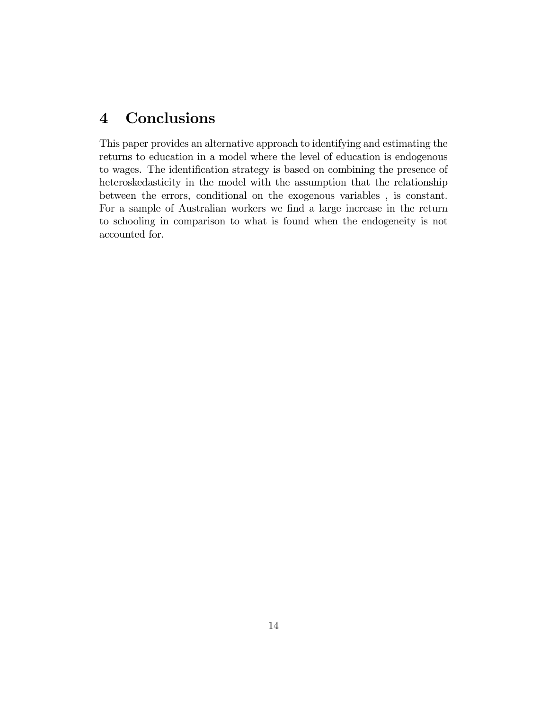## 4 Conclusions

This paper provides an alternative approach to identifying and estimating the returns to education in a model where the level of education is endogenous to wages. The identification strategy is based on combining the presence of heteroskedasticity in the model with the assumption that the relationship between the errors, conditional on the exogenous variables , is constant. For a sample of Australian workers we find a large increase in the return to schooling in comparison to what is found when the endogeneity is not accounted for.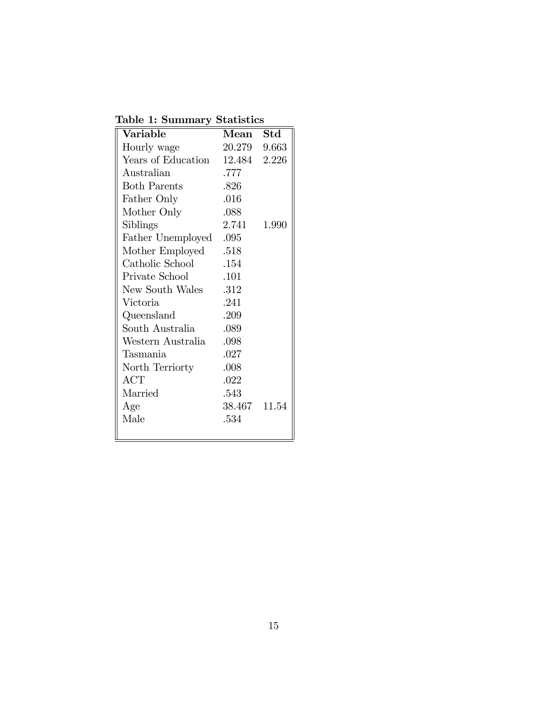Table 1: Summary Statistics

| Variable            | $\operatorname{Mean}$ | Std   |
|---------------------|-----------------------|-------|
| Hourly wage         | 20.279 9.663          |       |
| Years of Education  | 12.484 2.226          |       |
| Australian          | .777                  |       |
| <b>Both Parents</b> | .826                  |       |
| Father Only         | .016                  |       |
| Mother Only         | .088                  |       |
| Siblings            | 2.741                 | 1.990 |
| Father Unemployed   | .095                  |       |
| Mother Employed     | .518                  |       |
| Catholic School     | .154                  |       |
| Private School      | .101                  |       |
| New South Wales     | .312                  |       |
| Victoria            | .241                  |       |
| Queensland          | .209                  |       |
| South Australia     | .089                  |       |
| Western Australia   | .098                  |       |
| Tasmania            | .027                  |       |
| North Terriorty     | .008                  |       |
| ACT                 | .022                  |       |
| Married             | .543                  |       |
| Age                 | 38.467 11.54          |       |
| Male                | .534                  |       |
|                     |                       |       |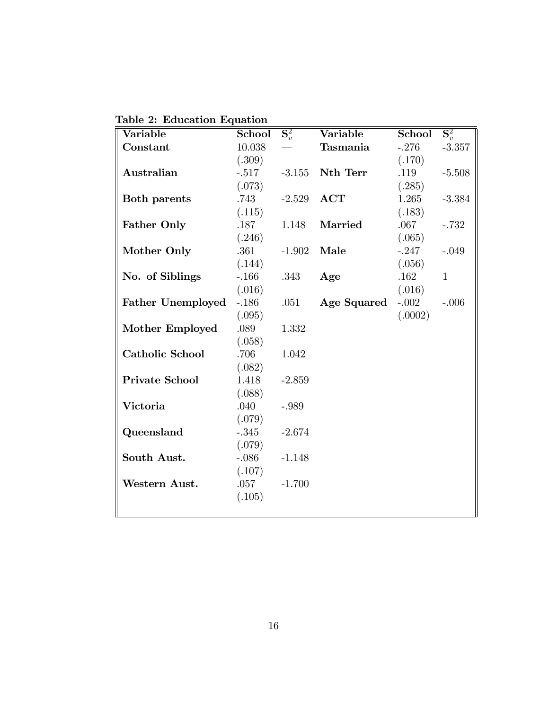Table 2: Education Equation

| Variable                 | School  | $\overline{{\bf S}_v^2}$ | Variable    | School  | $\overline{{\bf S}_v^2}$ |
|--------------------------|---------|--------------------------|-------------|---------|--------------------------|
| Constant                 | 10.038  |                          | Tasmania    | $-.276$ | $-3.357$                 |
|                          | (.309)  |                          |             | (.170)  |                          |
| Australian               | $-.517$ | $-3.155$                 | Nth Terr    | .119    | $-5.508$                 |
|                          | (.073)  |                          |             | (.285)  |                          |
| <b>Both parents</b>      | .743    | $-2.529$                 | ACT         | 1.265   | $-3.384$                 |
|                          | (.115)  |                          |             | (.183)  |                          |
| <b>Father Only</b>       | .187    | 1.148                    | Married     | .067    | $-.732$                  |
|                          | (.246)  |                          |             | (.065)  |                          |
| Mother Only              | .361    | $-1.902$                 | Male        | $-.247$ | $-.049$                  |
|                          | (.144)  |                          |             | (.056)  |                          |
| No. of Siblings          | $-.166$ | .343                     | Age         | .162    | $\mathbf{1}$             |
|                          | (.016)  |                          |             | (.016)  |                          |
| <b>Father Unemployed</b> | $-.186$ | .051                     | Age Squared | $-.002$ | $-.006$                  |
|                          | (.095)  |                          |             | (.0002) |                          |
| Mother Employed          | .089    | 1.332                    |             |         |                          |
|                          | (.058)  |                          |             |         |                          |
| <b>Catholic School</b>   | .706    | 1.042                    |             |         |                          |
|                          | (.082)  |                          |             |         |                          |
| <b>Private School</b>    | 1.418   | $-2.859$                 |             |         |                          |
|                          | (.088)  |                          |             |         |                          |
| Victoria                 | .040    | $-.989$                  |             |         |                          |
|                          | (.079)  |                          |             |         |                          |
| Queensland               | $-.345$ | $-2.674$                 |             |         |                          |
|                          | (.079)  |                          |             |         |                          |
| South Aust.              | $-.086$ | $-1.148$                 |             |         |                          |
|                          | (.107)  |                          |             |         |                          |
| Western Aust.            | .057    | $-1.700$                 |             |         |                          |
|                          | (.105)  |                          |             |         |                          |
|                          |         |                          |             |         |                          |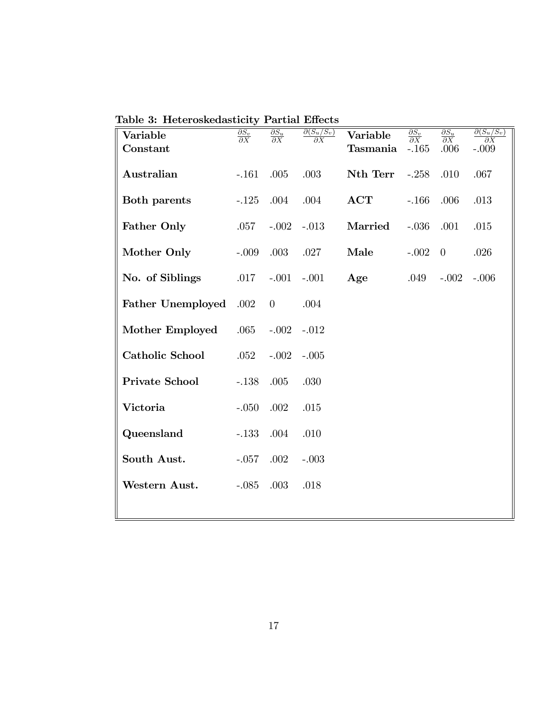| Variable<br>Constant     | $\frac{\partial S_v}{\partial X}$ | $\frac{\partial S_u}{\partial X}$ | $\partial(S_u/S_v)$<br>дΧ | Variable<br>Tasmania | $\frac{\partial S_v}{\partial X}$<br>$-.165$ | $\frac{\partial S_u}{\partial X}$<br>.006 | $\partial(S_u/S_v)$<br>$\partial X$<br>$-.009$ |
|--------------------------|-----------------------------------|-----------------------------------|---------------------------|----------------------|----------------------------------------------|-------------------------------------------|------------------------------------------------|
| Australian               | $-.161$                           | .005                              | .003                      | Nth Terr             | $-.258$                                      | .010                                      | .067                                           |
| <b>Both parents</b>      | $-.125$                           | .004                              | .004                      | ACT                  | $-.166$                                      | .006                                      | .013                                           |
| <b>Father Only</b>       | .057                              | $-.002$                           | $-.013$                   | Married              | $-.036$                                      | .001                                      | .015                                           |
| Mother Only              | $-.009$                           | .003                              | .027                      | Male                 | $-.002$                                      | $\theta$                                  | .026                                           |
| No. of Siblings          | .017                              | $-.001$                           | $-.001$                   | Age                  | .049                                         | $-.002$                                   | $-.006$                                        |
| <b>Father Unemployed</b> | .002                              | $\theta$                          | .004                      |                      |                                              |                                           |                                                |
| Mother Employed          | .065                              | $-.002$                           | $-.012$                   |                      |                                              |                                           |                                                |
| <b>Catholic School</b>   | .052                              | $-.002$                           | $-.005$                   |                      |                                              |                                           |                                                |
| <b>Private School</b>    | $-.138$                           | .005                              | .030                      |                      |                                              |                                           |                                                |
| Victoria                 | $-.050$                           | .002                              | .015                      |                      |                                              |                                           |                                                |
| Queensland               | $-.133$                           | .004                              | .010                      |                      |                                              |                                           |                                                |
| South Aust.              | $-.057$                           | .002                              | $-.003$                   |                      |                                              |                                           |                                                |
| Western Aust.            | $-.085$                           | .003                              | .018                      |                      |                                              |                                           |                                                |
|                          |                                   |                                   |                           |                      |                                              |                                           |                                                |

Table 3: Heteroskedasticity Partial Effects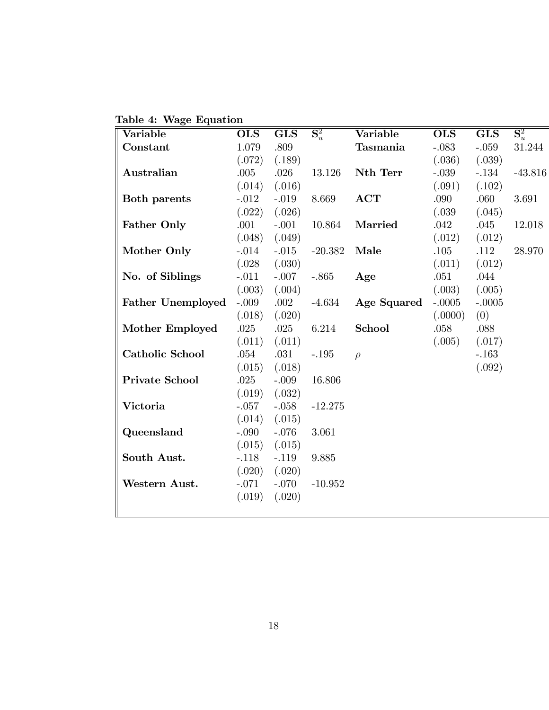Table 4: Wage Equation

| Variable                 | <b>OLS</b> | <b>GLS</b> | $\overline{\mathbf{S}^2_u}$ | Variable           | <b>OLS</b> | <b>GLS</b> | $\overline{{\bf S}_u^2}$ |
|--------------------------|------------|------------|-----------------------------|--------------------|------------|------------|--------------------------|
| Constant                 | 1.079      | .809       |                             | Tasmania           | $-.083$    | $-.059$    | 31.244                   |
|                          | (.072)     | (.189)     |                             |                    | (.036)     | (.039)     |                          |
| Australian               | .005       | .026       | 13.126                      | Nth Terr           | $-.039$    | $-.134$    | $-43.816$                |
|                          | (.014)     | (.016)     |                             |                    | (.091)     | (.102)     |                          |
| <b>Both parents</b>      | $-.012$    | $-.019$    | 8.669                       | ACT                | .090       | .060       | 3.691                    |
|                          | (.022)     | (.026)     |                             |                    | (.039)     | (.045)     |                          |
| <b>Father Only</b>       | .001       | $-.001$    | 10.864                      | Married            | .042       | .045       | 12.018                   |
|                          | (.048)     | (.049)     |                             |                    | (.012)     | (.012)     |                          |
| Mother Only              | $-.014$    | $-.015$    | $-20.382$                   | Male               | .105       | .112       | 28.970                   |
|                          | (.028)     | (.030)     |                             |                    | (.011)     | (.012)     |                          |
| No. of Siblings          | $-.011$    | $-.007$    | $-.865$                     | Age                | .051       | .044       |                          |
|                          | (.003)     | (.004)     |                             |                    | (.003)     | (.005)     |                          |
| <b>Father Unemployed</b> | $-.009$    | .002       | $-4.634$                    | <b>Age Squared</b> | $-.0005$   | $-.0005$   |                          |
|                          | (.018)     | (.020)     |                             |                    | (.0000)    | (0)        |                          |
| Mother Employed          | $.025\,$   | .025       | 6.214                       | School             | .058       | .088       |                          |
|                          | (.011)     | (.011)     |                             |                    | (.005)     | (.017)     |                          |
| <b>Catholic School</b>   | .054       | .031       | $-.195$                     | $\rho$             |            | $-.163$    |                          |
|                          | (.015)     | (.018)     |                             |                    |            | (.092)     |                          |
| <b>Private School</b>    | .025       | $-.009$    | 16.806                      |                    |            |            |                          |
|                          | (.019)     | (.032)     |                             |                    |            |            |                          |
| Victoria                 | $-.057$    | $-.058$    | $-12.275$                   |                    |            |            |                          |
|                          | (.014)     | (.015)     |                             |                    |            |            |                          |
| Queensland               | $-.090$    | $-.076$    | 3.061                       |                    |            |            |                          |
|                          | (.015)     | (.015)     |                             |                    |            |            |                          |
| South Aust.              | $-.118$    | $-.119$    | 9.885                       |                    |            |            |                          |
|                          | (.020)     | (.020)     |                             |                    |            |            |                          |
| Western Aust.            | $-.071$    | $-.070$    | $-10.952$                   |                    |            |            |                          |
|                          | (.019)     | (.020)     |                             |                    |            |            |                          |
|                          |            |            |                             |                    |            |            |                          |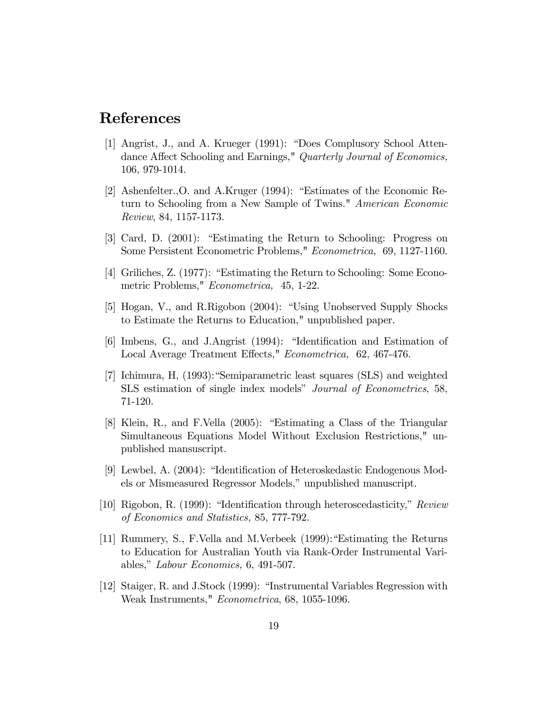### References

- [1] Angrist, J., and A. Krueger (1991): "Does Complusory School Attendance Affect Schooling and Earnings," Quarterly Journal of Economics, 106, 979-1014.
- [2] Ashenfelter., O. and A.Kruger  $(1994)$ : "Estimates of the Economic Return to Schooling from a New Sample of Twins." American Economic Review, 84, 1157-1173.
- [3] Card, D. (2001): "Estimating the Return to Schooling: Progress on Some Persistent Econometric Problems," Econometrica, 69, 1127-1160.
- [4] Griliches, Z.  $(1977)$ : "Estimating the Return to Schooling: Some Econometric Problems," Econometrica, 45, 1-22.
- [5] Hogan, V., and R.Rigobon (2004): "Using Unobserved Supply Shocks to Estimate the Returns to Education," unpublished paper.
- $[6]$  Imbens, G., and J.Angrist  $(1994)$ : "Identification and Estimation of Local Average Treatment Effects," Econometrica, 62, 467-476.
- [7] Ichimura, H,  $(1993)$ : "Semiparametric least squares (SLS) and weighted SLS estimation of single index models" Journal of Econometrics, 58, 71-120.
- [8] Klein, R., and F.Vella  $(2005)$ : "Estimating a Class of the Triangular Simultaneous Equations Model Without Exclusion Restrictions," unpublished mansuscript.
- [9] Lewbel, A.  $(2004)$ : "Identification of Heteroskedastic Endogenous Models or Mismeasured Regressor Models," unpublished manuscript.
- [10] Rigobon, R. (1999): "Identification through heteroscedasticity,"  $Review$ of Economics and Statistics, 85, 777-792.
- [11] Rummery, S., F. Vella and M. Verbeek  $(1999)$ : "Estimating the Returns to Education for Australian Youth via Rank-Order Instrumental Variables," Labour Economics,  $6, 491-507$ .
- [12] Staiger, R. and J.Stock (1999): "Instrumental Variables Regression with Weak Instruments," Econometrica, 68, 1055-1096.